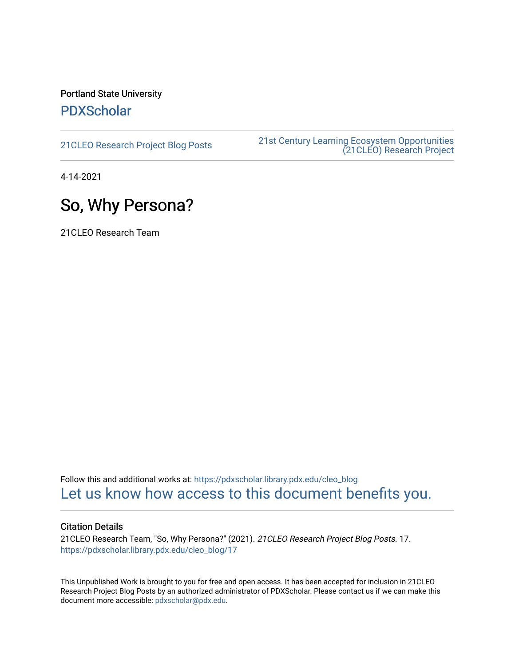### Portland State University [PDXScholar](https://pdxscholar.library.pdx.edu/)

[21CLEO Research Project Blog Posts](https://pdxscholar.library.pdx.edu/cleo_blog) [21st Century Learning Ecosystem Opportunities](https://pdxscholar.library.pdx.edu/cleo)  [\(21CLEO\) Research Project](https://pdxscholar.library.pdx.edu/cleo) 

4-14-2021

## So, Why Persona?

21CLEO Research Team

Follow this and additional works at: [https://pdxscholar.library.pdx.edu/cleo\\_blog](https://pdxscholar.library.pdx.edu/cleo_blog?utm_source=pdxscholar.library.pdx.edu%2Fcleo_blog%2F17&utm_medium=PDF&utm_campaign=PDFCoverPages)  [Let us know how access to this document benefits you.](http://library.pdx.edu/services/pdxscholar-services/pdxscholar-feedback/?ref=https://pdxscholar.library.pdx.edu/cleo_blog/17) 

#### Citation Details

21CLEO Research Team, "So, Why Persona?" (2021). 21CLEO Research Project Blog Posts. 17. [https://pdxscholar.library.pdx.edu/cleo\\_blog/17](https://pdxscholar.library.pdx.edu/cleo_blog/17?utm_source=pdxscholar.library.pdx.edu%2Fcleo_blog%2F17&utm_medium=PDF&utm_campaign=PDFCoverPages)

This Unpublished Work is brought to you for free and open access. It has been accepted for inclusion in 21CLEO Research Project Blog Posts by an authorized administrator of PDXScholar. Please contact us if we can make this document more accessible: [pdxscholar@pdx.edu.](mailto:pdxscholar@pdx.edu)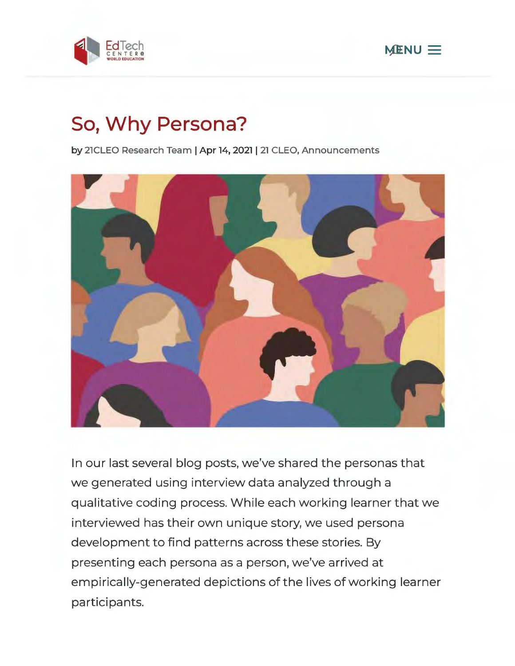



# **So, Why Persona?**

**by 21CLEO Research Team** I **Apr 14, 2021** I **21 CLEO, Announcements** 



In our last several blog posts, we've shared the personas that we generated using interview data analyzed through a qualitative coding process. While each working learner that we interviewed has their own unique story, we used persona development to find patterns across these stories. By presenting each persona as a person, we've arrived at empirically-generated depictions of the lives of working learner participants.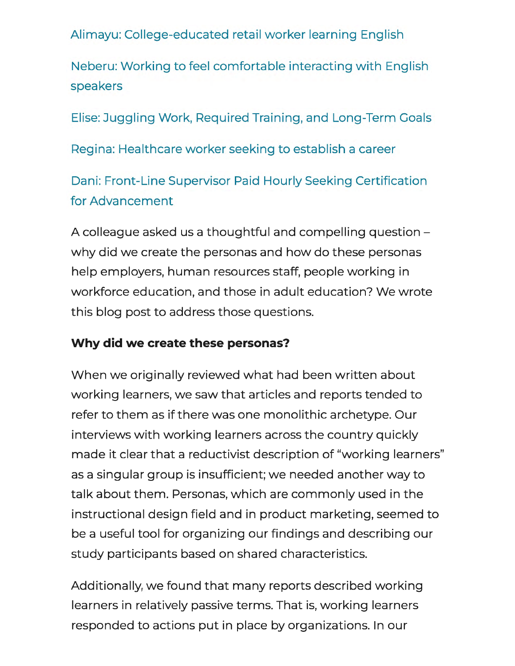Alimayu: College-educated retail worker learning English

Neberu: Working to feel comfortable interacting with English speakers

Elise: Juggling Work, Required Training, and Long-Term Goals

Regina: Healthcare worker seeking to establish a career

Dani: Front-Line Supervisor Paid Hourly Seeking Certification for Advancement

A colleague asked us a thoughtful and compelling question why did we create the personas and how do these personas help employers, human resources staff, people working in workforce education, and those in adult education? We wrote this blog post to address those questions.

### **Why did we create these personas?**

When we originally reviewed what had been written about working learners, we saw that articles and reports tended to refer to them as if there was one monolithic archetype. Our interviews with working learners across the country quickly made it clear that a reductivist description of "working learners" as a singular group is insufficient; we needed another way to talk about them. Personas, which are commonly used in the instructional design field and in product marketing, seemed to be a useful tool for organizing our findings and describing our study participants based on shared characteristics.

Additionally, we found that many reports described working learners in relatively passive terms. That is, working learners responded to actions put in place by organizations. In our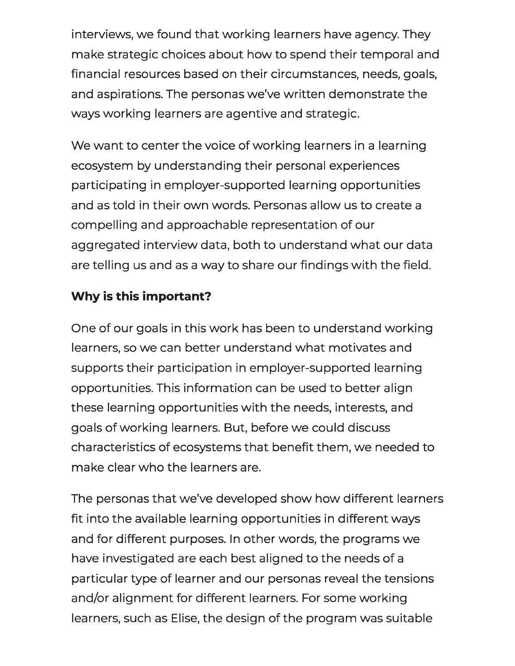interviews, we found that working learners have agency. They make strategic choices about how to spend their temporal and financial resources based on their circumstances, needs, goals, and aspirations. The personas we've written demonstrate the ways working learners are agentive and strategic.

We want to center the voice of working learners in a learning ecosystem by understanding their personal experiences participating in employer-supported learning opportunities and as told in their own words. Personas allow us to create a compelling and approachable representation of our aggregated interview data, both to understand what our data are telling us and as a way to share our findings with the field.

### **Why is this important?**

One of our goals in this work has been to understand working learners, so we can better understand what motivates and supports their participation in employer-supported learning opportunities. This information can be used to better align these learning opportunities with the needs, interests, and goals of working learners. But, before we could discuss characteristics of ecosystems that benefit them, we needed to make clear who the learners are.

The personas that we've developed show how different learners fit into the available learning opportunities in different ways and for different purposes. In other words, the programs we have investigated are each best aligned to the needs of a particular type of learner and our personas reveal the tensions and/or alignment for different learners. For some working learners, such as Elise, the design of the program was suitable